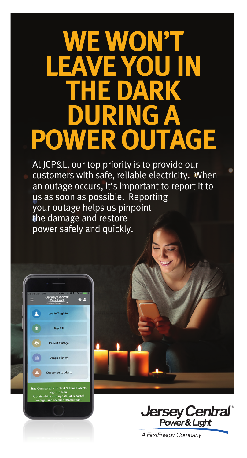## **WE WON'T LEAVEL TARK DURING A POWER OUTAGE**

At JCP&L, our top priority is to provide our customers with safe, reliable electricity. When an outage occurs, it's important to report it to us as soon as possible. Reporting your outage helps us pinpoint the damage and restore power safely and quickly.





A FirstEnergy Company